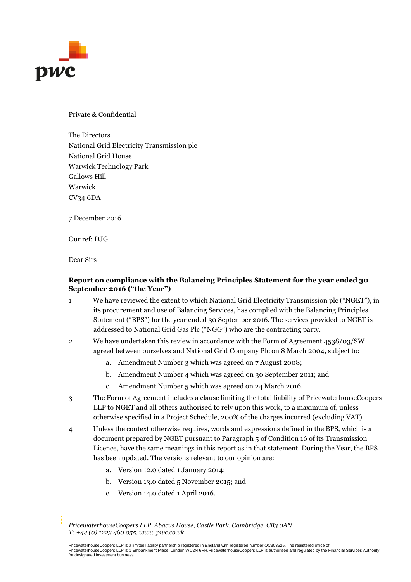

Private & Confidential

The Directors National Grid Electricity Transmission plc National Grid House Warwick Technology Park Gallows Hill Warwick CV34 6DA

7 December 2016

Our ref: DJG

Dear Sirs

### **Report on compliance with the Balancing Principles Statement for the year ended 30 September 2016 ("the Year")**

- 1 We have reviewed the extent to which National Grid Electricity Transmission plc ("NGET"), in its procurement and use of Balancing Services, has complied with the Balancing Principles Statement ("BPS") for the year ended 30 September 2016. The services provided to NGET is addressed to National Grid Gas Plc ("NGG") who are the contracting party.
- 2 We have undertaken this review in accordance with the Form of Agreement 4538/03/SW agreed between ourselves and National Grid Company Plc on 8 March 2004, subject to:
	- a. Amendment Number 3 which was agreed on 7 August 2008;
	- b. Amendment Number 4 which was agreed on 30 September 2011; and
	- c. Amendment Number 5 which was agreed on 24 March 2016.
- 3 The Form of Agreement includes a clause limiting the total liability of PricewaterhouseCoopers LLP to NGET and all others authorised to rely upon this work, to a maximum of, unless otherwise specified in a Project Schedule, 200% of the charges incurred (excluding VAT).
- 4 Unless the context otherwise requires, words and expressions defined in the BPS, which is a document prepared by NGET pursuant to Paragraph 5 of Condition 16 of its Transmission Licence, have the same meanings in this report as in that statement. During the Year, the BPS has been updated. The versions relevant to our opinion are:
	- a. Version 12.0 dated 1 January 2014;
	- b. Version 13.0 dated 5 November 2015; and
	- c. Version 14.0 dated 1 April 2016.

*PricewaterhouseCoopers LLP, Abacus House, Castle Park, Cambridge, CB3 0AN T: +44 (0) 1223 460 055, www.pwc.co.uk*

PricewaterhouseCoopers LLP is a limited liability partnership registered in England with registered number OC303525. The registered office of PricewaterhouseCoopers LLP is 1 Embankment Place, London WC2N 6RH.PricewaterhouseCoopers LLP is authorised and regulated by the Financial Services Authority for designated investment business.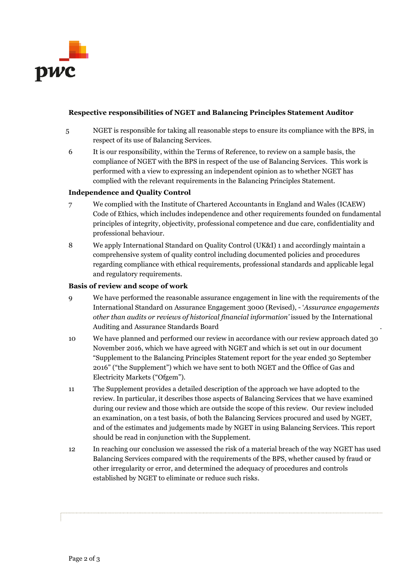

### **Respective responsibilities of NGET and Balancing Principles Statement Auditor**

- 5 NGET is responsible for taking all reasonable steps to ensure its compliance with the BPS, in respect of its use of Balancing Services.
- 6 It is our responsibility, within the Terms of Reference, to review on a sample basis, the compliance of NGET with the BPS in respect of the use of Balancing Services. This work is performed with a view to expressing an independent opinion as to whether NGET has complied with the relevant requirements in the Balancing Principles Statement.

### **Independence and Quality Control**

- 7 We complied with the Institute of Chartered Accountants in England and Wales (ICAEW) Code of Ethics, which includes independence and other requirements founded on fundamental principles of integrity, objectivity, professional competence and due care, confidentiality and professional behaviour.
- 8 We apply International Standard on Quality Control (UK&I) 1 and accordingly maintain a comprehensive system of quality control including documented policies and procedures regarding compliance with ethical requirements, professional standards and applicable legal and regulatory requirements.

#### **Basis of review and scope of work**

- 9 We have performed the reasonable assurance engagement in line with the requirements of the International Standard on Assurance Engagement 3000 (Revised), - '*Assurance engagements other than audits or reviews of historical financial information'* issued by the International Auditing and Assurance Standards Board .
- 10 We have planned and performed our review in accordance with our review approach dated 30 November 2016, which we have agreed with NGET and which is set out in our document "Supplement to the Balancing Principles Statement report for the year ended 30 September 2016" ("the Supplement") which we have sent to both NGET and the Office of Gas and Electricity Markets ("Ofgem").
- 11 The Supplement provides a detailed description of the approach we have adopted to the review. In particular, it describes those aspects of Balancing Services that we have examined during our review and those which are outside the scope of this review. Our review included an examination, on a test basis, of both the Balancing Services procured and used by NGET, and of the estimates and judgements made by NGET in using Balancing Services. This report should be read in conjunction with the Supplement.
- 12 In reaching our conclusion we assessed the risk of a material breach of the way NGET has used Balancing Services compared with the requirements of the BPS, whether caused by fraud or other irregularity or error, and determined the adequacy of procedures and controls established by NGET to eliminate or reduce such risks.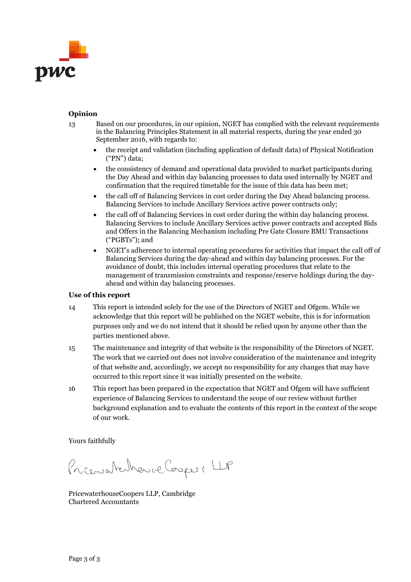

#### **Opinion**

- 13 Based on our procedures, in our opinion, NGET has complied with the relevant requirements in the Balancing Principles Statement in all material respects, during the year ended 30 September 2016, with regards to:
	- the receipt and validation (including application of default data) of Physical Notification ("PN") data;
	- the consistency of demand and operational data provided to market participants during the Day Ahead and within day balancing processes to data used internally by NGET and confirmation that the required timetable for the issue of this data has been met;
	- the call off of Balancing Services in cost order during the Day Ahead balancing process. Balancing Services to include Ancillary Services active power contracts only;
	- the call off of Balancing Services in cost order during the within day balancing process. Balancing Services to include Ancillary Services active power contracts and accepted Bids and Offers in the Balancing Mechanism including Pre Gate Closure BMU Transactions ("PGBTs"); and
	- NGET's adherence to internal operating procedures for activities that impact the call off of Balancing Services during the day-ahead and within day balancing processes. For the avoidance of doubt, this includes internal operating procedures that relate to the management of transmission constraints and response/reserve holdings during the dayahead and within day balancing processes.

#### **Use of this report**

- 14 This report is intended solely for the use of the Directors of NGET and Ofgem. While we acknowledge that this report will be published on the NGET website, this is for information purposes only and we do not intend that it should be relied upon by anyone other than the parties mentioned above.
- 15 The maintenance and integrity of that website is the responsibility of the Directors of NGET. The work that we carried out does not involve consideration of the maintenance and integrity of that website and, accordingly, we accept no responsibility for any changes that may have occurred to this report since it was initially presented on the website.
- 16 This report has been prepared in the expectation that NGET and Ofgem will have sufficient experience of Balancing Services to understand the scope of our review without further background explanation and to evaluate the contents of this report in the context of the scope of our work.

Yours faithfully

Pricewatcheric Cospers LLP

PricewaterhouseCoopers LLP, Cambridge Chartered Accountants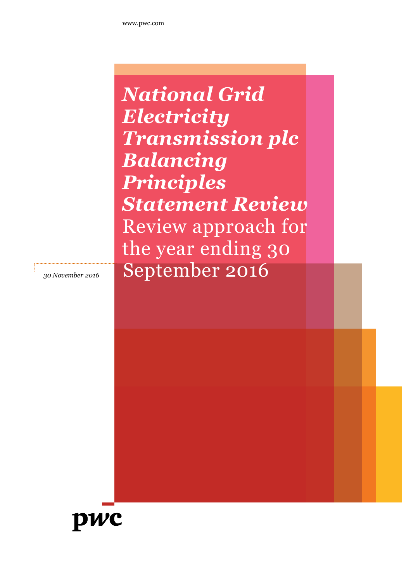*National Grid Electricity Transmission plc Balancing Principles Statement Review* Review approach for the year ending 30 *<sup>30</sup> November <sup>2016</sup>* September 2016

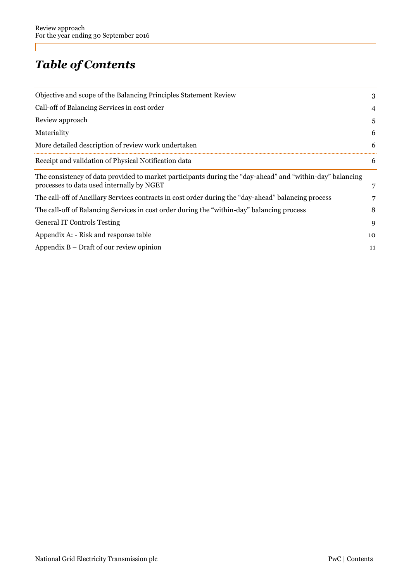## *Table of Contents*

| 3  |
|----|
| 4  |
| 5  |
| 6  |
| 6  |
| 6  |
|    |
|    |
| 8  |
| 9  |
| 10 |
| 11 |
|    |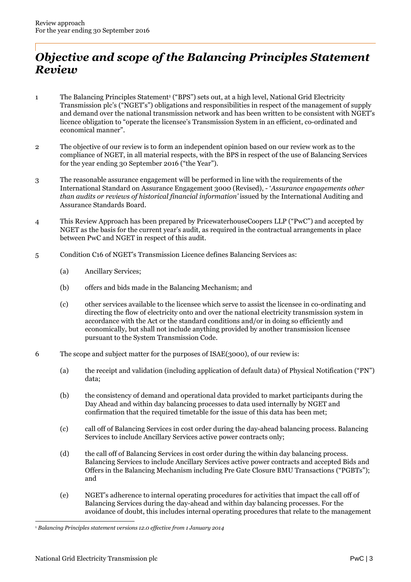### *Objective and scope of the Balancing Principles Statement Review*

- 1 The Balancing Principles Statement<sup>1</sup> ("BPS") sets out, at a high level, National Grid Electricity Transmission plc's ("NGET's") obligations and responsibilities in respect of the management of supply and demand over the national transmission network and has been written to be consistent with NGET's licence obligation to "operate the licensee's Transmission System in an efficient, co-ordinated and economical manner".
- 2 The objective of our review is to form an independent opinion based on our review work as to the compliance of NGET, in all material respects, with the BPS in respect of the use of Balancing Services for the year ending 30 September 2016 ("the Year").
- 3 The reasonable assurance engagement will be performed in line with the requirements of the International Standard on Assurance Engagement 3000 (Revised), - '*Assurance engagements other than audits or reviews of historical financial information'* issued by the International Auditing and Assurance Standards Board.
- 4 This Review Approach has been prepared by PricewaterhouseCoopers LLP ("PwC") and accepted by NGET as the basis for the current year's audit, as required in the contractual arrangements in place between PwC and NGET in respect of this audit.
- 5 Condition C16 of NGET's Transmission Licence defines Balancing Services as:
	- (a) Ancillary Services;
	- (b) offers and bids made in the Balancing Mechanism; and
	- (c) other services available to the licensee which serve to assist the licensee in co-ordinating and directing the flow of electricity onto and over the national electricity transmission system in accordance with the Act or the standard conditions and/or in doing so efficiently and economically, but shall not include anything provided by another transmission licensee pursuant to the System Transmission Code.
- 6 The scope and subject matter for the purposes of ISAE(3000), of our review is:
	- (a) the receipt and validation (including application of default data) of Physical Notification ("PN") data;
	- (b) the consistency of demand and operational data provided to market participants during the Day Ahead and within day balancing processes to data used internally by NGET and confirmation that the required timetable for the issue of this data has been met;
	- (c) call off of Balancing Services in cost order during the day-ahead balancing process. Balancing Services to include Ancillary Services active power contracts only;
	- (d) the call off of Balancing Services in cost order during the within day balancing process. Balancing Services to include Ancillary Services active power contracts and accepted Bids and Offers in the Balancing Mechanism including Pre Gate Closure BMU Transactions ("PGBTs"); and
	- (e) NGET's adherence to internal operating procedures for activities that impact the call off of Balancing Services during the day-ahead and within day balancing processes. For the avoidance of doubt, this includes internal operating procedures that relate to the management

<sup>1</sup> *Balancing Principles statement versions 12.0 effective from 1 January 2014*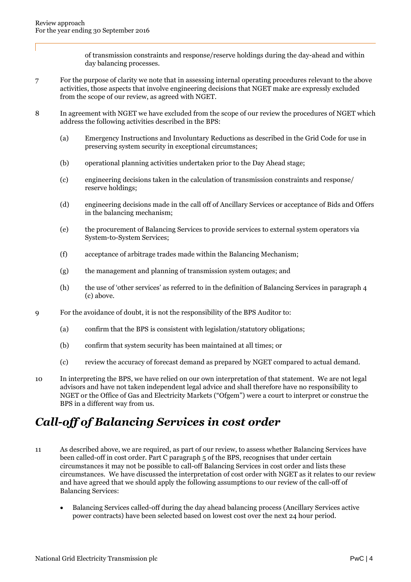of transmission constraints and response/reserve holdings during the day-ahead and within day balancing processes.

- 7 For the purpose of clarity we note that in assessing internal operating procedures relevant to the above activities, those aspects that involve engineering decisions that NGET make are expressly excluded from the scope of our review, as agreed with NGET.
- 8 In agreement with NGET we have excluded from the scope of our review the procedures of NGET which address the following activities described in the BPS:
	- (a) Emergency Instructions and Involuntary Reductions as described in the Grid Code for use in preserving system security in exceptional circumstances;
	- (b) operational planning activities undertaken prior to the Day Ahead stage;
	- (c) engineering decisions taken in the calculation of transmission constraints and response/ reserve holdings;
	- (d) engineering decisions made in the call off of Ancillary Services or acceptance of Bids and Offers in the balancing mechanism;
	- (e) the procurement of Balancing Services to provide services to external system operators via System-to-System Services;
	- (f) acceptance of arbitrage trades made within the Balancing Mechanism;
	- (g) the management and planning of transmission system outages; and
	- (h) the use of 'other services' as referred to in the definition of Balancing Services in paragraph 4 (c) above.
- 9 For the avoidance of doubt, it is not the responsibility of the BPS Auditor to:
	- (a) confirm that the BPS is consistent with legislation/statutory obligations;
	- (b) confirm that system security has been maintained at all times; or
	- (c) review the accuracy of forecast demand as prepared by NGET compared to actual demand.
- 10 In interpreting the BPS, we have relied on our own interpretation of that statement. We are not legal advisors and have not taken independent legal advice and shall therefore have no responsibility to NGET or the Office of Gas and Electricity Markets ("Ofgem") were a court to interpret or construe the BPS in a different way from us.

### *Call-off of Balancing Services in cost order*

- 11 As described above, we are required, as part of our review, to assess whether Balancing Services have been called-off in cost order. Part C paragraph 5 of the BPS, recognises that under certain circumstances it may not be possible to call-off Balancing Services in cost order and lists these circumstances. We have discussed the interpretation of cost order with NGET as it relates to our review and have agreed that we should apply the following assumptions to our review of the call-off of Balancing Services:
	- Balancing Services called-off during the day ahead balancing process (Ancillary Services active power contracts) have been selected based on lowest cost over the next 24 hour period.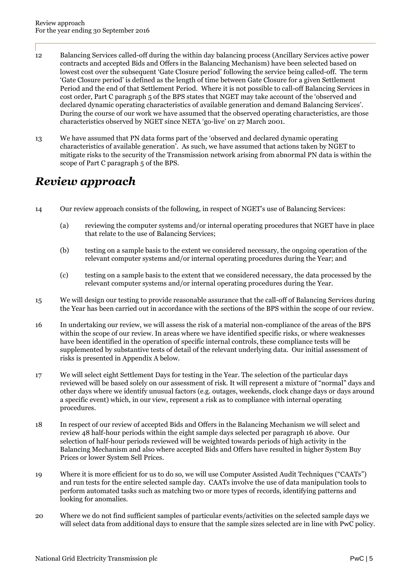- 12 Balancing Services called-off during the within day balancing process (Ancillary Services active power contracts and accepted Bids and Offers in the Balancing Mechanism) have been selected based on lowest cost over the subsequent 'Gate Closure period' following the service being called-off. The term 'Gate Closure period' is defined as the length of time between Gate Closure for a given Settlement Period and the end of that Settlement Period. Where it is not possible to call-off Balancing Services in cost order, Part C paragraph 5 of the BPS states that NGET may take account of the 'observed and declared dynamic operating characteristics of available generation and demand Balancing Services'. During the course of our work we have assumed that the observed operating characteristics, are those characteristics observed by NGET since NETA 'go-live' on 27 March 2001.
- 13 We have assumed that PN data forms part of the 'observed and declared dynamic operating characteristics of available generation'. As such, we have assumed that actions taken by NGET to mitigate risks to the security of the Transmission network arising from abnormal PN data is within the scope of Part C paragraph 5 of the BPS.

### *Review approach*

- 14 Our review approach consists of the following, in respect of NGET's use of Balancing Services:
	- (a) reviewing the computer systems and/or internal operating procedures that NGET have in place that relate to the use of Balancing Services;
	- (b) testing on a sample basis to the extent we considered necessary, the ongoing operation of the relevant computer systems and/or internal operating procedures during the Year; and
	- (c) testing on a sample basis to the extent that we considered necessary, the data processed by the relevant computer systems and/or internal operating procedures during the Year.
- 15 We will design our testing to provide reasonable assurance that the call-off of Balancing Services during the Year has been carried out in accordance with the sections of the BPS within the scope of our review.
- 16 In undertaking our review, we will assess the risk of a material non-compliance of the areas of the BPS within the scope of our review. In areas where we have identified specific risks, or where weaknesses have been identified in the operation of specific internal controls, these compliance tests will be supplemented by substantive tests of detail of the relevant underlying data. Our initial assessment of risks is presented in Appendix A below.
- 17 We will select eight Settlement Days for testing in the Year. The selection of the particular days reviewed will be based solely on our assessment of risk. It will represent a mixture of "normal" days and other days where we identify unusual factors (e.g. outages, weekends, clock change days or days around a specific event) which, in our view, represent a risk as to compliance with internal operating procedures.
- 18 In respect of our review of accepted Bids and Offers in the Balancing Mechanism we will select and review 48 half-hour periods within the eight sample days selected per paragraph 16 above. Our selection of half-hour periods reviewed will be weighted towards periods of high activity in the Balancing Mechanism and also where accepted Bids and Offers have resulted in higher System Buy Prices or lower System Sell Prices.
- 19 Where it is more efficient for us to do so, we will use Computer Assisted Audit Techniques ("CAATs") and run tests for the entire selected sample day. CAATs involve the use of data manipulation tools to perform automated tasks such as matching two or more types of records, identifying patterns and looking for anomalies.
- 20 Where we do not find sufficient samples of particular events/activities on the selected sample days we will select data from additional days to ensure that the sample sizes selected are in line with PwC policy.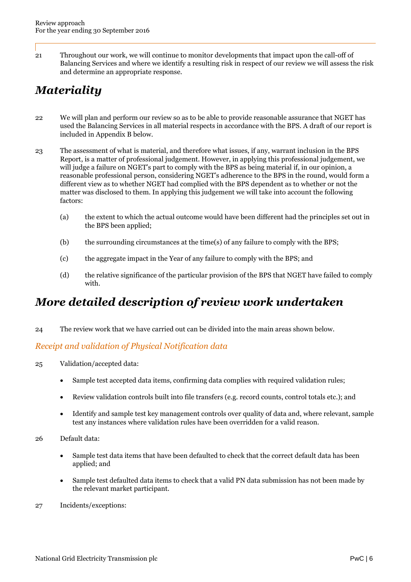21 Throughout our work, we will continue to monitor developments that impact upon the call-off of Balancing Services and where we identify a resulting risk in respect of our review we will assess the risk and determine an appropriate response.

## *Materiality*

- 22 We will plan and perform our review so as to be able to provide reasonable assurance that NGET has used the Balancing Services in all material respects in accordance with the BPS. A draft of our report is included in Appendix B below.
- 23 The assessment of what is material, and therefore what issues, if any, warrant inclusion in the BPS Report, is a matter of professional judgement. However, in applying this professional judgement, we will judge a failure on NGET's part to comply with the BPS as being material if, in our opinion, a reasonable professional person, considering NGET's adherence to the BPS in the round, would form a different view as to whether NGET had complied with the BPS dependent as to whether or not the matter was disclosed to them. In applying this judgement we will take into account the following factors:
	- (a) the extent to which the actual outcome would have been different had the principles set out in the BPS been applied;
	- (b) the surrounding circumstances at the time(s) of any failure to comply with the BPS;
	- (c) the aggregate impact in the Year of any failure to comply with the BPS; and
	- (d) the relative significance of the particular provision of the BPS that NGET have failed to comply with.

### *More detailed description of review work undertaken*

24 The review work that we have carried out can be divided into the main areas shown below.

### *Receipt and validation of Physical Notification data*

- 25 Validation/accepted data:
	- Sample test accepted data items, confirming data complies with required validation rules;
	- Review validation controls built into file transfers (e.g. record counts, control totals etc.); and
	- Identify and sample test key management controls over quality of data and, where relevant, sample test any instances where validation rules have been overridden for a valid reason.
- 26 Default data:
	- Sample test data items that have been defaulted to check that the correct default data has been applied; and
	- Sample test defaulted data items to check that a valid PN data submission has not been made by the relevant market participant.
- 27 Incidents/exceptions: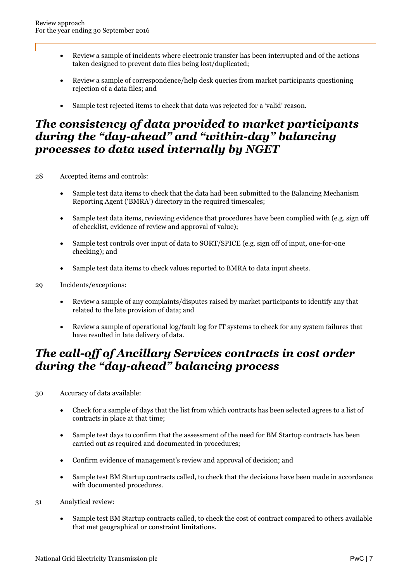- Review a sample of incidents where electronic transfer has been interrupted and of the actions taken designed to prevent data files being lost/duplicated;
- Review a sample of correspondence/help desk queries from market participants questioning rejection of a data files; and
- Sample test rejected items to check that data was rejected for a 'valid' reason.

### *The consistency of data provided to market participants during the "day-ahead" and "within-day" balancing processes to data used internally by NGET*

- 28 Accepted items and controls:
	- Sample test data items to check that the data had been submitted to the Balancing Mechanism Reporting Agent ('BMRA') directory in the required timescales;
	- Sample test data items, reviewing evidence that procedures have been complied with (e.g. sign off of checklist, evidence of review and approval of value);
	- Sample test controls over input of data to SORT/SPICE (e.g. sign off of input, one-for-one checking); and
	- Sample test data items to check values reported to BMRA to data input sheets.
- 29 Incidents/exceptions:
	- Review a sample of any complaints/disputes raised by market participants to identify any that related to the late provision of data; and
	- Review a sample of operational log/fault log for IT systems to check for any system failures that have resulted in late delivery of data.

### *The call-off of Ancillary Services contracts in cost order during the "day-ahead" balancing process*

- 30 Accuracy of data available:
	- Check for a sample of days that the list from which contracts has been selected agrees to a list of contracts in place at that time;
	- Sample test days to confirm that the assessment of the need for BM Startup contracts has been carried out as required and documented in procedures;
	- Confirm evidence of management's review and approval of decision; and
	- Sample test BM Startup contracts called, to check that the decisions have been made in accordance with documented procedures.
- 31 Analytical review:
	- Sample test BM Startup contracts called, to check the cost of contract compared to others available that met geographical or constraint limitations.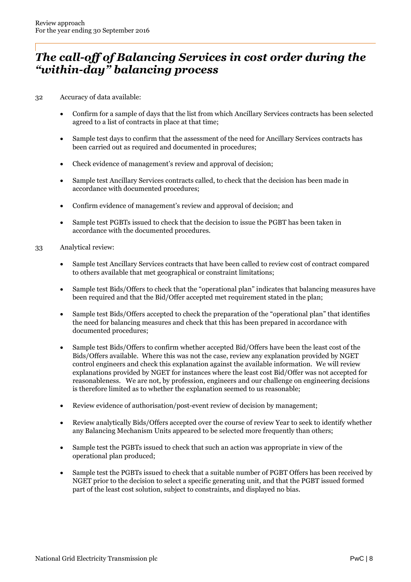### *The call-off of Balancing Services in cost order during the "within-day" balancing process*

- 32 Accuracy of data available:
	- Confirm for a sample of days that the list from which Ancillary Services contracts has been selected agreed to a list of contracts in place at that time;
	- Sample test days to confirm that the assessment of the need for Ancillary Services contracts has been carried out as required and documented in procedures;
	- Check evidence of management's review and approval of decision;
	- Sample test Ancillary Services contracts called, to check that the decision has been made in accordance with documented procedures;
	- Confirm evidence of management's review and approval of decision; and
	- Sample test PGBTs issued to check that the decision to issue the PGBT has been taken in accordance with the documented procedures.
- 33 Analytical review:
	- Sample test Ancillary Services contracts that have been called to review cost of contract compared to others available that met geographical or constraint limitations;
	- Sample test Bids/Offers to check that the "operational plan" indicates that balancing measures have been required and that the Bid/Offer accepted met requirement stated in the plan;
	- Sample test Bids/Offers accepted to check the preparation of the "operational plan" that identifies the need for balancing measures and check that this has been prepared in accordance with documented procedures;
	- Sample test Bids/Offers to confirm whether accepted Bid/Offers have been the least cost of the Bids/Offers available. Where this was not the case, review any explanation provided by NGET control engineers and check this explanation against the available information. We will review explanations provided by NGET for instances where the least cost Bid/Offer was not accepted for reasonableness. We are not, by profession, engineers and our challenge on engineering decisions is therefore limited as to whether the explanation seemed to us reasonable;
	- Review evidence of authorisation/post-event review of decision by management;
	- Review analytically Bids/Offers accepted over the course of review Year to seek to identify whether any Balancing Mechanism Units appeared to be selected more frequently than others;
	- Sample test the PGBTs issued to check that such an action was appropriate in view of the operational plan produced;
	- Sample test the PGBTs issued to check that a suitable number of PGBT Offers has been received by NGET prior to the decision to select a specific generating unit, and that the PGBT issued formed part of the least cost solution, subject to constraints, and displayed no bias.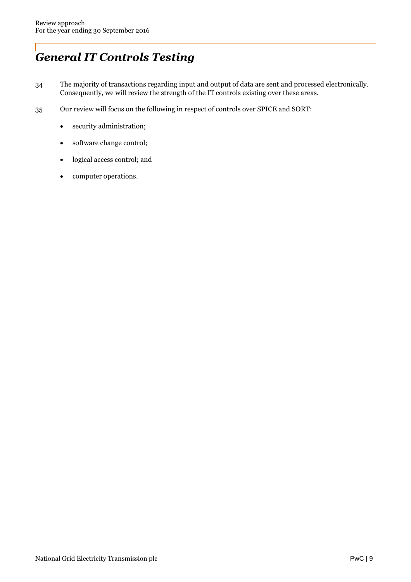## *General IT Controls Testing*

- 34 The majority of transactions regarding input and output of data are sent and processed electronically. Consequently, we will review the strength of the IT controls existing over these areas.
- 35 Our review will focus on the following in respect of controls over SPICE and SORT:
	- security administration;
	- software change control;
	- logical access control; and
	- computer operations.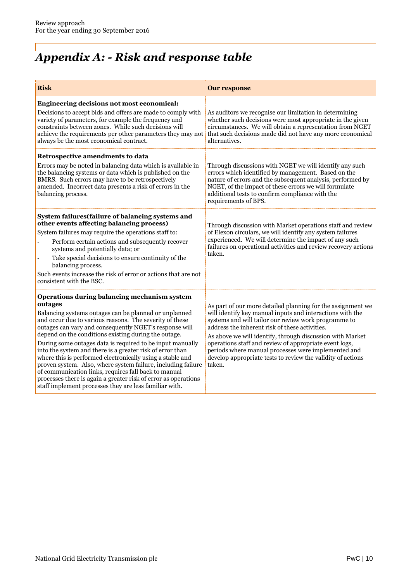# *Appendix A: - Risk and response table*

| <b>Risk</b>                                                                                                                                                                                                                                                                                                                                                                                                                                                                                                                                                                                                                                                                                                                              | <b>Our response</b>                                                                                                                                                                                                                                                                                                                                                                                                                                                                       |
|------------------------------------------------------------------------------------------------------------------------------------------------------------------------------------------------------------------------------------------------------------------------------------------------------------------------------------------------------------------------------------------------------------------------------------------------------------------------------------------------------------------------------------------------------------------------------------------------------------------------------------------------------------------------------------------------------------------------------------------|-------------------------------------------------------------------------------------------------------------------------------------------------------------------------------------------------------------------------------------------------------------------------------------------------------------------------------------------------------------------------------------------------------------------------------------------------------------------------------------------|
| Engineering decisions not most economical:<br>Decisions to accept bids and offers are made to comply with<br>variety of parameters, for example the frequency and<br>constraints between zones. While such decisions will<br>achieve the requirements per other parameters they may not<br>always be the most economical contract.                                                                                                                                                                                                                                                                                                                                                                                                       | As auditors we recognise our limitation in determining<br>whether such decisions were most appropriate in the given<br>circumstances. We will obtain a representation from NGET<br>that such decisions made did not have any more economical<br>alternatives.                                                                                                                                                                                                                             |
| Retrospective amendments to data<br>Errors may be noted in balancing data which is available in<br>the balancing systems or data which is published on the<br>BMRS. Such errors may have to be retrospectively<br>amended. Incorrect data presents a risk of errors in the<br>balancing process.                                                                                                                                                                                                                                                                                                                                                                                                                                         | Through discussions with NGET we will identify any such<br>errors which identified by management. Based on the<br>nature of errors and the subsequent analysis, performed by<br>NGET, of the impact of these errors we will formulate<br>additional tests to confirm compliance with the<br>requirements of BPS.                                                                                                                                                                          |
| System failures (failure of balancing systems and<br>other events affecting balancing process)<br>System failures may require the operations staff to:<br>Perform certain actions and subsequently recover<br>systems and potentially data; or<br>Take special decisions to ensure continuity of the<br>balancing process.<br>Such events increase the risk of error or actions that are not<br>consistent with the BSC.                                                                                                                                                                                                                                                                                                                 | Through discussion with Market operations staff and review<br>of Elexon circulars, we will identify any system failures<br>experienced. We will determine the impact of any such<br>failures on operational activities and review recovery actions<br>taken.                                                                                                                                                                                                                              |
| Operations during balancing mechanism system<br>outages<br>Balancing systems outages can be planned or unplanned<br>and occur due to various reasons. The severity of these<br>outages can vary and consequently NGET's response will<br>depend on the conditions existing during the outage.<br>During some outages data is required to be input manually<br>into the system and there is a greater risk of error than<br>where this is performed electronically using a stable and<br>proven system. Also, where system failure, including failure<br>of communication links, requires fall back to manual<br>processes there is again a greater risk of error as operations<br>staff implement processes they are less familiar with. | As part of our more detailed planning for the assignment we<br>will identify key manual inputs and interactions with the<br>systems and will tailor our review work programme to<br>address the inherent risk of these activities.<br>As above we will identify, through discussion with Market<br>operations staff and review of appropriate event logs,<br>periods where manual processes were implemented and<br>develop appropriate tests to review the validity of actions<br>taken. |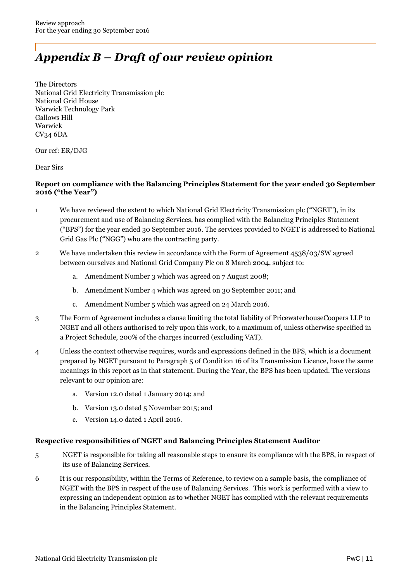## *Appendix B – Draft of our review opinion*

The Directors National Grid Electricity Transmission plc National Grid House Warwick Technology Park Gallows Hill Warwick CV34 6DA

Our ref: ER/DJG

Dear Sirs

### **Report on compliance with the Balancing Principles Statement for the year ended 30 September 2016 ("the Year")**

- 1 We have reviewed the extent to which National Grid Electricity Transmission plc ("NGET"), in its procurement and use of Balancing Services, has complied with the Balancing Principles Statement ("BPS") for the year ended 30 September 2016. The services provided to NGET is addressed to National Grid Gas Plc ("NGG") who are the contracting party.
- 2 We have undertaken this review in accordance with the Form of Agreement 4538/03/SW agreed between ourselves and National Grid Company Plc on 8 March 2004, subject to:
	- a. Amendment Number 3 which was agreed on 7 August 2008;
	- b. Amendment Number 4 which was agreed on 30 September 2011; and
	- c. Amendment Number 5 which was agreed on 24 March 2016.
- 3 The Form of Agreement includes a clause limiting the total liability of PricewaterhouseCoopers LLP to NGET and all others authorised to rely upon this work, to a maximum of, unless otherwise specified in a Project Schedule, 200% of the charges incurred (excluding VAT).
- 4 Unless the context otherwise requires, words and expressions defined in the BPS, which is a document prepared by NGET pursuant to Paragraph 5 of Condition 16 of its Transmission Licence, have the same meanings in this report as in that statement. During the Year, the BPS has been updated. The versions relevant to our opinion are:
	- a. Version 12.0 dated 1 January 2014; and
	- b. Version 13.0 dated 5 November 2015; and
	- c. Version 14.0 dated 1 April 2016.

#### **Respective responsibilities of NGET and Balancing Principles Statement Auditor**

- 5 NGET is responsible for taking all reasonable steps to ensure its compliance with the BPS, in respect of its use of Balancing Services.
- 6 It is our responsibility, within the Terms of Reference, to review on a sample basis, the compliance of NGET with the BPS in respect of the use of Balancing Services. This work is performed with a view to expressing an independent opinion as to whether NGET has complied with the relevant requirements in the Balancing Principles Statement.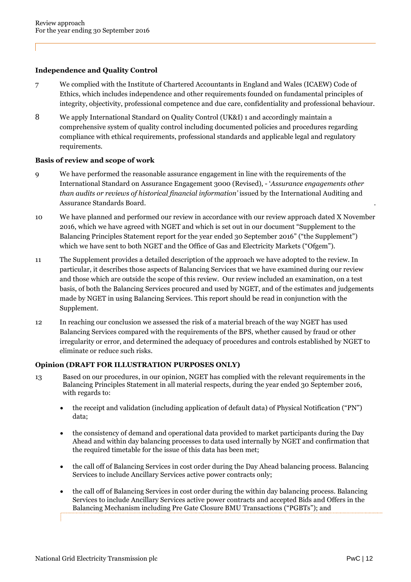### **Independence and Quality Control**

- 7 We complied with the Institute of Chartered Accountants in England and Wales (ICAEW) Code of Ethics, which includes independence and other requirements founded on fundamental principles of integrity, objectivity, professional competence and due care, confidentiality and professional behaviour.
- 8 We apply International Standard on Quality Control (UK&I) 1 and accordingly maintain a comprehensive system of quality control including documented policies and procedures regarding compliance with ethical requirements, professional standards and applicable legal and regulatory requirements.

### **Basis of review and scope of work**

- 9 We have performed the reasonable assurance engagement in line with the requirements of the International Standard on Assurance Engagement 3000 (Revised), - '*Assurance engagements other than audits or reviews of historical financial information'* issued by the International Auditing and Assurance Standards Board. .
- 10 We have planned and performed our review in accordance with our review approach dated X November 2016, which we have agreed with NGET and which is set out in our document "Supplement to the Balancing Principles Statement report for the year ended 30 September 2016" ("the Supplement") which we have sent to both NGET and the Office of Gas and Electricity Markets ("Ofgem").
- 11 The Supplement provides a detailed description of the approach we have adopted to the review. In particular, it describes those aspects of Balancing Services that we have examined during our review and those which are outside the scope of this review. Our review included an examination, on a test basis, of both the Balancing Services procured and used by NGET, and of the estimates and judgements made by NGET in using Balancing Services. This report should be read in conjunction with the Supplement.
- 12 In reaching our conclusion we assessed the risk of a material breach of the way NGET has used Balancing Services compared with the requirements of the BPS, whether caused by fraud or other irregularity or error, and determined the adequacy of procedures and controls established by NGET to eliminate or reduce such risks.

### **Opinion (DRAFT FOR ILLUSTRATION PURPOSES ONLY)**

- 13 Based on our procedures, in our opinion, NGET has complied with the relevant requirements in the Balancing Principles Statement in all material respects, during the year ended 30 September 2016, with regards to:
	- the receipt and validation (including application of default data) of Physical Notification ("PN") data;
	- the consistency of demand and operational data provided to market participants during the Day Ahead and within day balancing processes to data used internally by NGET and confirmation that the required timetable for the issue of this data has been met;
	- the call off of Balancing Services in cost order during the Day Ahead balancing process. Balancing Services to include Ancillary Services active power contracts only;
	- the call off of Balancing Services in cost order during the within day balancing process. Balancing Services to include Ancillary Services active power contracts and accepted Bids and Offers in the Balancing Mechanism including Pre Gate Closure BMU Transactions ("PGBTs"); and

National Grid Electricity Transmission plc **PwC** | 12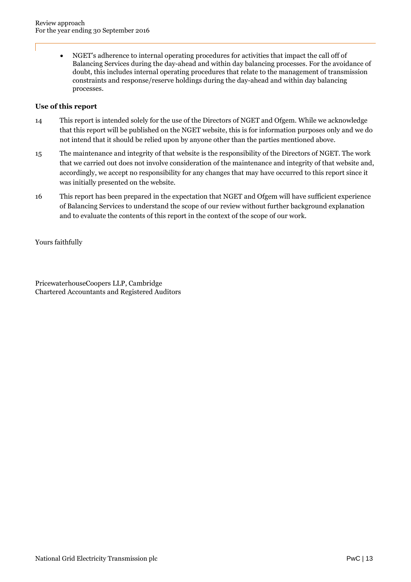NGET's adherence to internal operating procedures for activities that impact the call off of Balancing Services during the day-ahead and within day balancing processes. For the avoidance of doubt, this includes internal operating procedures that relate to the management of transmission constraints and response/reserve holdings during the day-ahead and within day balancing processes.

#### **Use of this report**

- 14 This report is intended solely for the use of the Directors of NGET and Ofgem. While we acknowledge that this report will be published on the NGET website, this is for information purposes only and we do not intend that it should be relied upon by anyone other than the parties mentioned above.
- 15 The maintenance and integrity of that website is the responsibility of the Directors of NGET. The work that we carried out does not involve consideration of the maintenance and integrity of that website and, accordingly, we accept no responsibility for any changes that may have occurred to this report since it was initially presented on the website.
- 16 This report has been prepared in the expectation that NGET and Ofgem will have sufficient experience of Balancing Services to understand the scope of our review without further background explanation and to evaluate the contents of this report in the context of the scope of our work.

Yours faithfully

PricewaterhouseCoopers LLP, Cambridge Chartered Accountants and Registered Auditors